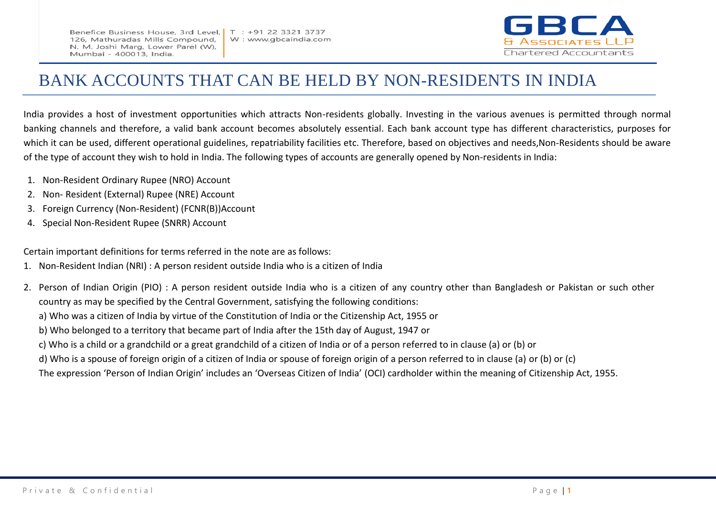Benefice Business House, 3rd Level, 126, Mathuradas Mills Compound, N. M. Joshi Marg, Lower Parel (W), Mumbai - 400013, India.



## BANK ACCOUNTS THAT CAN BE HELD BY NON-RESIDENTS IN INDIA

India provides a host of investment opportunities which attracts Non-residents globally. Investing in the various avenues is permitted through normal banking channels and therefore, a valid bank account becomes absolutely essential. Each bank account type has different characteristics, purposes for which it can be used, different operational guidelines, repatriability facilities etc. Therefore, based on objectives and needs,Non-Residents should be aware of the type of account they wish to hold in India. The following types of accounts are generally opened by Non-residents in India:

- 1. Non-Resident Ordinary Rupee (NRO) Account
- 2. Non- Resident (External) Rupee (NRE) Account
- 3. Foreign Currency (Non-Resident) (FCNR(B))Account
- 4. Special Non-Resident Rupee (SNRR) Account

Certain important definitions for terms referred in the note are as follows:

- 1. Non-Resident Indian (NRI) : A person resident outside India who is a citizen of India
- 2. Person of Indian Origin (PIO) : A person resident outside India who is a citizen of any country other than Bangladesh or Pakistan or such other country as may be specified by the Central Government, satisfying the following conditions: a) Who was a citizen of India by virtue of the Constitution of India or the Citizenship Act, 1955 or b) Who belonged to a territory that became part of India after the 15th day of August, 1947 or c) Who is a child or a grandchild or a great grandchild of a citizen of India or of a person referred to in clause (a) or (b) or d) Who is a spouse of foreign origin of a citizen of India or spouse of foreign origin of a person referred to in clause (a) or (b) or (c) The expression 'Person of Indian Origin' includes an 'Overseas Citizen of India' (OCI) cardholder within the meaning of Citizenship Act, 1955.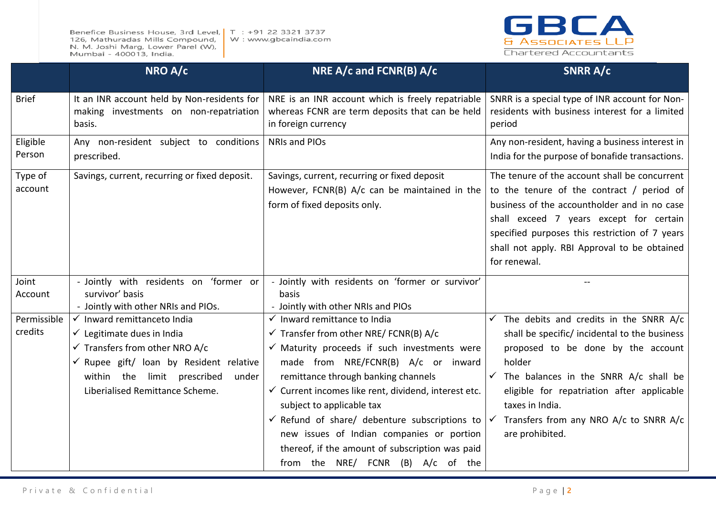Benefice Business House, 3rd Level, | T : +91 22 3321 3737 126, Mathuradas Mills Compound, W: www.gbcaindia.com N. M. Joshi Marg, Lower Parel (W), Mumbai - 400013, India.



|                        | NRO A/c                                                                                                                                                                                                                                            | NRE A/c and FCNR(B) A/c                                                                                                                                                                                                                                                                                                                                                                                                                                                                                                               | <b>SNRR A/c</b>                                                                                                                                                                                                                                                                                                                                       |
|------------------------|----------------------------------------------------------------------------------------------------------------------------------------------------------------------------------------------------------------------------------------------------|---------------------------------------------------------------------------------------------------------------------------------------------------------------------------------------------------------------------------------------------------------------------------------------------------------------------------------------------------------------------------------------------------------------------------------------------------------------------------------------------------------------------------------------|-------------------------------------------------------------------------------------------------------------------------------------------------------------------------------------------------------------------------------------------------------------------------------------------------------------------------------------------------------|
| <b>Brief</b>           | It an INR account held by Non-residents for<br>making investments on non-repatriation<br>basis.                                                                                                                                                    | NRE is an INR account which is freely repatriable<br>whereas FCNR are term deposits that can be held<br>in foreign currency                                                                                                                                                                                                                                                                                                                                                                                                           | SNRR is a special type of INR account for Non-<br>residents with business interest for a limited<br>period                                                                                                                                                                                                                                            |
| Eligible<br>Person     | Any non-resident subject to conditions<br>prescribed.                                                                                                                                                                                              | <b>NRIs and PIOs</b>                                                                                                                                                                                                                                                                                                                                                                                                                                                                                                                  | Any non-resident, having a business interest in<br>India for the purpose of bonafide transactions.                                                                                                                                                                                                                                                    |
| Type of<br>account     | Savings, current, recurring or fixed deposit.                                                                                                                                                                                                      | Savings, current, recurring or fixed deposit<br>However, FCNR(B) A/c can be maintained in the<br>form of fixed deposits only.                                                                                                                                                                                                                                                                                                                                                                                                         | The tenure of the account shall be concurrent<br>to the tenure of the contract / period of<br>business of the accountholder and in no case<br>shall exceed 7 years except for certain<br>specified purposes this restriction of 7 years<br>shall not apply. RBI Approval to be obtained<br>for renewal.                                               |
| Joint<br>Account       | - Jointly with residents on 'former or<br>survivor' basis<br>- Jointly with other NRIs and PIOs.                                                                                                                                                   | - Jointly with residents on 'former or survivor'<br>basis<br>- Jointly with other NRIs and PIOs                                                                                                                                                                                                                                                                                                                                                                                                                                       |                                                                                                                                                                                                                                                                                                                                                       |
| Permissible<br>credits | √ Inward remittanceto India<br>$\checkmark$ Legitimate dues in India<br>$\checkmark$ Transfers from other NRO A/c<br>$\checkmark$ Rupee gift/ loan by Resident relative<br>within the limit prescribed<br>under<br>Liberialised Remittance Scheme. | $\checkmark$ Inward remittance to India<br>$\checkmark$ Transfer from other NRE/FCNR(B) A/c<br>$\checkmark$ Maturity proceeds if such investments were<br>made from NRE/FCNR(B) A/c or inward<br>remittance through banking channels<br>$\checkmark$ Current incomes like rent, dividend, interest etc.<br>subject to applicable tax<br>$\checkmark$ Refund of share/ debenture subscriptions to<br>new issues of Indian companies or portion<br>thereof, if the amount of subscription was paid<br>from the NRE/ FCNR (B) A/c of the | $\checkmark$ The debits and credits in the SNRR A/c<br>shall be specific/ incidental to the business<br>proposed to be done by the account<br>holder<br>$\checkmark$ The balances in the SNRR A/c shall be<br>eligible for repatriation after applicable<br>taxes in India.<br>$\checkmark$ Transfers from any NRO A/c to SNRR A/c<br>are prohibited. |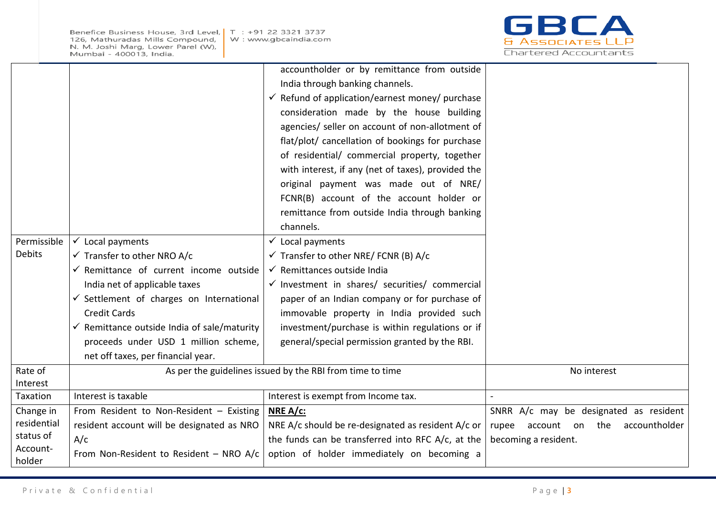Benefice Business House, 3rd Level, | T : +91 22 3321 3737 126, Mathuradas Mills Compound, N. M. Joshi Marg, Lower Parel (W), Mumbai - 400013, India.



|                     |                                                                            | accountholder or by remittance from outside<br>India through banking channels.<br>$\checkmark$ Refund of application/earnest money/ purchase<br>consideration made by the house building<br>agencies/ seller on account of non-allotment of<br>flat/plot/ cancellation of bookings for purchase |                                        |
|---------------------|----------------------------------------------------------------------------|-------------------------------------------------------------------------------------------------------------------------------------------------------------------------------------------------------------------------------------------------------------------------------------------------|----------------------------------------|
|                     |                                                                            | of residential/ commercial property, together<br>with interest, if any (net of taxes), provided the<br>original payment was made out of NRE/                                                                                                                                                    |                                        |
|                     |                                                                            | FCNR(B) account of the account holder or<br>remittance from outside India through banking<br>channels.                                                                                                                                                                                          |                                        |
| Permissible         | Local payments                                                             | $\checkmark$ Local payments                                                                                                                                                                                                                                                                     |                                        |
| <b>Debits</b>       | $\checkmark$ Transfer to other NRO A/c                                     | $\checkmark$ Transfer to other NRE/FCNR (B) A/c                                                                                                                                                                                                                                                 |                                        |
|                     | $\checkmark$ Remittance of current income outside                          | ← Remittances outside India                                                                                                                                                                                                                                                                     |                                        |
|                     | India net of applicable taxes                                              | $\checkmark$ Investment in shares/ securities/ commercial                                                                                                                                                                                                                                       |                                        |
|                     | $\checkmark$ Settlement of charges on International                        | paper of an Indian company or for purchase of                                                                                                                                                                                                                                                   |                                        |
|                     | <b>Credit Cards</b>                                                        | immovable property in India provided such                                                                                                                                                                                                                                                       |                                        |
|                     | $\checkmark$ Remittance outside India of sale/maturity                     | investment/purchase is within regulations or if                                                                                                                                                                                                                                                 |                                        |
|                     | proceeds under USD 1 million scheme,<br>net off taxes, per financial year. | general/special permission granted by the RBI.                                                                                                                                                                                                                                                  |                                        |
| Rate of<br>Interest |                                                                            | As per the guidelines issued by the RBI from time to time                                                                                                                                                                                                                                       | No interest                            |
| Taxation            | Interest is taxable                                                        | Interest is exempt from Income tax.                                                                                                                                                                                                                                                             |                                        |
| Change in           | From Resident to Non-Resident - Existing                                   | NRE $A/c$ :                                                                                                                                                                                                                                                                                     | SNRR A/c may be designated as resident |
| residential         | resident account will be designated as NRO                                 | NRE A/c should be re-designated as resident A/c or                                                                                                                                                                                                                                              | rupee account on the accountholder     |
| status of           | A/c                                                                        | the funds can be transferred into RFC A/c, at the                                                                                                                                                                                                                                               | becoming a resident.                   |
| Account-<br>holder  | From Non-Resident to Resident - NRO A/c                                    | option of holder immediately on becoming a                                                                                                                                                                                                                                                      |                                        |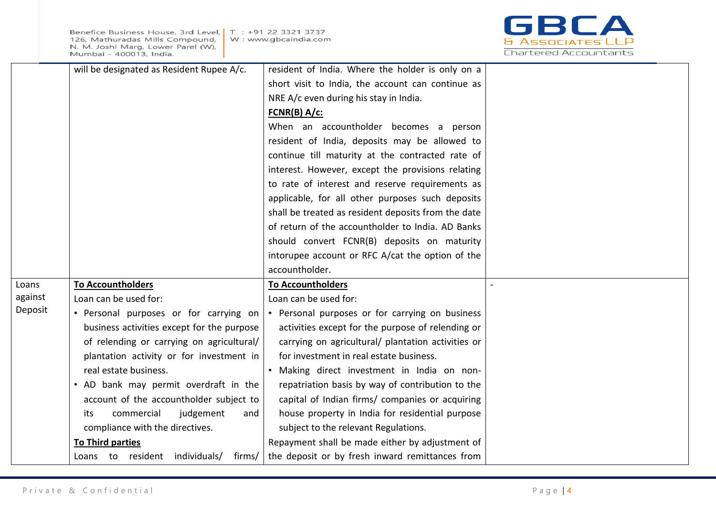

|         | will be designated as Resident Rupee A/c.  | resident of India. Where the holder is only on a    |  |
|---------|--------------------------------------------|-----------------------------------------------------|--|
|         |                                            | short visit to India, the account can continue as   |  |
|         |                                            | NRE A/c even during his stay in India.              |  |
|         |                                            | $FCNR(B) A/c$ :                                     |  |
|         |                                            | When an accountholder becomes a person              |  |
|         |                                            | resident of India, deposits may be allowed to       |  |
|         |                                            | continue till maturity at the contracted rate of    |  |
|         |                                            | interest. However, except the provisions relating   |  |
|         |                                            | to rate of interest and reserve requirements as     |  |
|         |                                            | applicable, for all other purposes such deposits    |  |
|         |                                            | shall be treated as resident deposits from the date |  |
|         |                                            | of return of the accountholder to India. AD Banks   |  |
|         |                                            | should convert FCNR(B) deposits on maturity         |  |
|         |                                            | intorupee account or RFC A/cat the option of the    |  |
|         |                                            | accountholder.                                      |  |
| Loans   | <b>To Accountholders</b>                   | <b>To Accountholders</b>                            |  |
| against | Loan can be used for:                      | Loan can be used for:                               |  |
| Deposit | • Personal purposes or for carrying on     | • Personal purposes or for carrying on business     |  |
|         | business activities except for the purpose | activities except for the purpose of relending or   |  |
|         | of relending or carrying on agricultural/  | carrying on agricultural/ plantation activities or  |  |
|         | plantation activity or for investment in   | for investment in real estate business.             |  |
|         | real estate business.                      | • Making direct investment in India on non-         |  |
|         | • AD bank may permit overdraft in the      | repatriation basis by way of contribution to the    |  |
|         | account of the accountholder subject to    | capital of Indian firms/ companies or acquiring     |  |
|         | commercial<br>judgement<br>its<br>and      | house property in India for residential purpose     |  |
|         | compliance with the directives.            | subject to the relevant Regulations.                |  |
|         | To Third parties                           | Repayment shall be made either by adjustment of     |  |
|         | Loans to resident individuals/ firms/      | the deposit or by fresh inward remittances from     |  |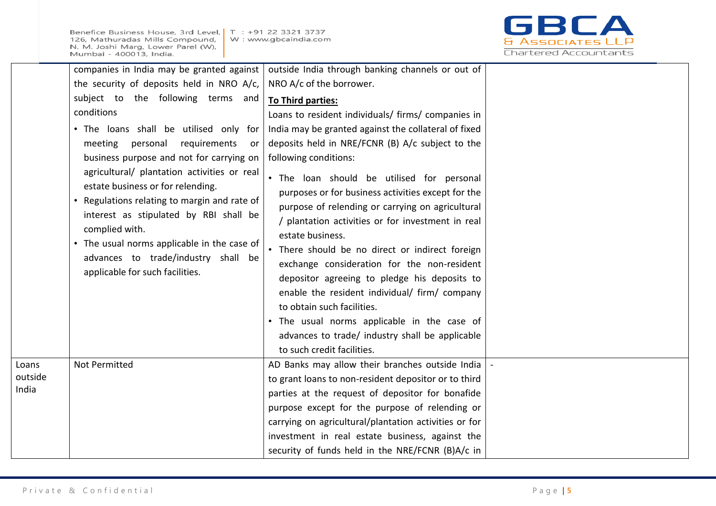Benefice Business House, 3rd Level, 126, Mathuradas Mills Compound, N. M. Joshi Marg, Lower Parel (W), Mumbai - 400013, India.



|                  | companies in India may be granted against                                                                                                                                                                                                                         | outside India through banking channels or out of                                               |  |
|------------------|-------------------------------------------------------------------------------------------------------------------------------------------------------------------------------------------------------------------------------------------------------------------|------------------------------------------------------------------------------------------------|--|
|                  | the security of deposits held in NRO A/c,                                                                                                                                                                                                                         | NRO A/c of the borrower.                                                                       |  |
|                  | subject to the following terms and                                                                                                                                                                                                                                | To Third parties:                                                                              |  |
|                  | conditions                                                                                                                                                                                                                                                        | Loans to resident individuals/ firms/ companies in                                             |  |
|                  | . The loans shall be utilised only for<br>personal<br>requirements<br>meeting<br>or<br>business purpose and not for carrying on<br>agricultural/ plantation activities or real<br>estate business or for relending.<br>Regulations relating to margin and rate of | India may be granted against the collateral of fixed                                           |  |
|                  |                                                                                                                                                                                                                                                                   | deposits held in NRE/FCNR (B) A/c subject to the                                               |  |
|                  |                                                                                                                                                                                                                                                                   | following conditions:                                                                          |  |
|                  |                                                                                                                                                                                                                                                                   | . The loan should be utilised for personal                                                     |  |
|                  |                                                                                                                                                                                                                                                                   | purposes or for business activities except for the                                             |  |
|                  | interest as stipulated by RBI shall be                                                                                                                                                                                                                            | purpose of relending or carrying on agricultural                                               |  |
|                  | complied with.<br>• The usual norms applicable in the case of<br>advances to trade/industry shall be<br>applicable for such facilities.                                                                                                                           | / plantation activities or for investment in real                                              |  |
|                  |                                                                                                                                                                                                                                                                   | estate business.                                                                               |  |
|                  |                                                                                                                                                                                                                                                                   | • There should be no direct or indirect foreign<br>exchange consideration for the non-resident |  |
|                  |                                                                                                                                                                                                                                                                   | depositor agreeing to pledge his deposits to                                                   |  |
|                  |                                                                                                                                                                                                                                                                   | enable the resident individual/ firm/ company                                                  |  |
|                  |                                                                                                                                                                                                                                                                   | to obtain such facilities.                                                                     |  |
|                  |                                                                                                                                                                                                                                                                   | . The usual norms applicable in the case of                                                    |  |
|                  |                                                                                                                                                                                                                                                                   | advances to trade/ industry shall be applicable                                                |  |
|                  |                                                                                                                                                                                                                                                                   | to such credit facilities.                                                                     |  |
| Loans            | Not Permitted                                                                                                                                                                                                                                                     | AD Banks may allow their branches outside India                                                |  |
| outside<br>India |                                                                                                                                                                                                                                                                   | to grant loans to non-resident depositor or to third                                           |  |
|                  |                                                                                                                                                                                                                                                                   | parties at the request of depositor for bonafide                                               |  |
|                  |                                                                                                                                                                                                                                                                   | purpose except for the purpose of relending or                                                 |  |
|                  |                                                                                                                                                                                                                                                                   | carrying on agricultural/plantation activities or for                                          |  |
|                  |                                                                                                                                                                                                                                                                   | investment in real estate business, against the                                                |  |
|                  |                                                                                                                                                                                                                                                                   | security of funds held in the NRE/FCNR (B)A/c in                                               |  |